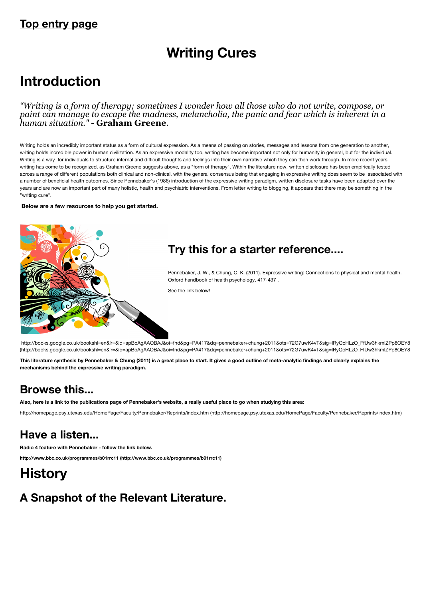### **Top entry page**

# **Writing Cures**

# **Introduction**

*"Writing is a form of therapy; sometimes I wonder how all those who do not write, compose, or paint can manage to escape the madness, melancholia, the panic and fear which is inherent in a human situation."* - **Graham Greene**.

Writing holds an incredibly important status as a form of cultural expression. As a means of passing on stories, messages and lessons from one generation to another, writing holds incredible power in human civilization. As an expressive modality too, writing has become important not only for humanity in general, but for the individual. Writing is a way for individuals to structure internal and difficult thoughts and feelings into their own narrative which they can then work through. In more recent years writing has come to be recognized, as Graham Greene suggests above, as a "form of therapy". Within the literature now, written disclosure has been empirically tested across a range of different populations both clinical and non-clinical, with the general consensus being that engaging in expressive writing does seem to be associated with a number of beneficial health outcomes. Since Pennebaker's (1986) introduction of the expressive writing paradigm, written disclosure tasks have been adapted over the years and are now an important part of many holistic, health and psychiatric interventions. From letter writing to blogging, it appears that there may be something in the "writing cure".

 **Below are a few resources to help you get started.**



http://books.google.co.uk/bookshl=en&lr=&id=apBoAgAAQBAJ&oi=fnd&pg=PA417&dq=pennebaker+chung+2011&ots=72G7uwK4vT&sig=lRyQcHLzO\_FfUw3hkmlZPp8OEY8 (http://books.google.co.uk/bookshl=en&lr=&id=apBoAgAAQBAJ&oi=fnd&pg=PA417&dq=pennebaker+chung+2011&ots=72G7uwK4vT&sig=lRyQcHLzO\_FfUw3hkmlZPp8OEY8

**This literature synthesis by Pennebaker & Chung (2011) is a great place to start. It gives a good outline of meta-analytic findings and clearly explains the mechanisms behind the expressive writing paradigm.**

### **Browse this...**

**Also, here is a link to the publications page of Pennebaker's website, a really useful place to go when studying this area:**

[http://homepage.psy.utexas.edu/HomePage/Faculty/Pennebaker/Reprints/index.htm \(http://homepage.psy.utexas.edu/HomePage/Faculty/Pennebaker/Reprints/index.htm\)](http://homepage.psy.utexas.edu/HomePage/Faculty/Pennebaker/Reprints/index.htm)

### **Have a listen...**

**Radio 4 feature with Pennebaker - follow the link below.**

**[http://www.bbc.co.uk/programmes/b01rrc11 \(http://www.bbc.co.uk/programmes/b01rrc11\)](http://www.bbc.co.uk/programmes/b01rrc11)**

# **History**

## **A Snapshot of the Relevant Literature.**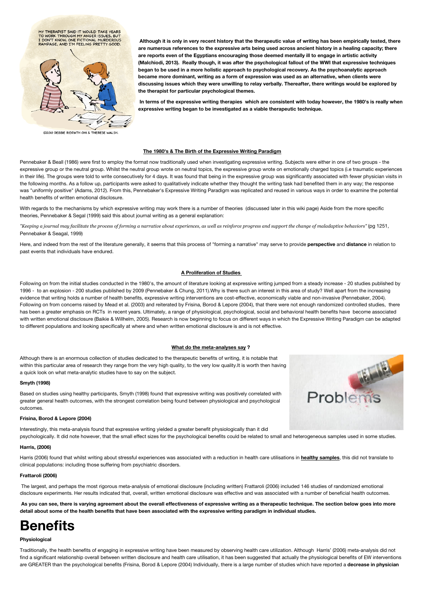

©2010 DEBBIE RIDPATH OHI & THERESE WALSH.

**Although it is only in very recent history that the therapeutic value of writing has been empirically tested, there are numerous references to the expressive arts being used across ancient history in a healing capacity; there are reports even of the Egyptians encouraging those deemed mentally ill to engage in artistic activity (Malchiodi, 2013). Really though, it was after the psychological fallout of the WWI that expressive techniques began to be used in a more holistic approach to psychological recovery. As the psychoanalytic approach became more dominant, writing as a form of expression was used as an alternative, when clients were discussing issues which they were unwilling to relay verbally. Thereafter, there writings would be explored by the therapist for particular psychological themes.**

**In terms of the expressive writing therapies which are consistent with today however, the 1980's is really when expressive writing began to be investigated as a viable therapeutic technique.** 

### **The 1980's & The Birth of the Expressive Writing Paradigm**

Pennebaker & Beall (1986) were first to employ the format now traditionally used when investigating expressive writing. Subjects were either in one of two groups - the expressive group or the neutral group. Whilst the neutral group wrote on neutral topics, the expressive group wrote on emotionally charged topics (i.e traumatic experiences in their life). The groups were told to write consecutively for 4 days. It was found that being in the expressive group was significantly associated with fewer physician visits in the following months. As a follow up, participants were asked to qualitatively indicate whether they thought the writing task had benefited them in any way; the response was "uniformly positive" (Adams, 2012). From this, Pennebaker's Expressive Writing Paradigm was replicated and reused in various ways in order to examine the potential health benefits of written emotional disclosure.

With regards to the mechanisms by which expressive writing may work there is a number of theories (discussed later in this wiki page) Aside from the more specific theories. Pennebaker & Segal (1999) said this about journal writing as a general explanation:

*"Keeping a journal may facilitate the process of forming a narrative about experiences, as well as reinforce progress and support the change of maladaptive behaviors"* (pg 1251, Pennebaker & Seagal, 1999)

Here, and indeed from the rest of the literature generally, it seems that thiis process of "forming a narrative" may serve to provide **perspective** and **distance** in relation to past events that individuals have endured.

#### **A Proliferation of Studies**

Following on from the initial studies conducted in the 1980's, the amount of literature looking at expressive writing jumped from a steady increase - 20 studies published by 1996 - to an explosion - 200 studies published by 2009 (Pennebaker & Chung, 2011).Why is there such an interest in this area of study? Well apart from the increasing evidence that writing holds a number of health benefits, expressive writing interventions are cost-effective, economically viable and non-invasive (Pennebaker, 2004). Following on from concerns raised by Mead et al. (2003) and reiterated by Frisina, Borod & Lepore (2004), that there were not enough randomized controlled studies, there has been a greater emphasis on RCTs in recent years. Ultimately, a range of physiological, psychological, social and behavioral health benefits have become associated with written emotional disclosure (Baikie & Willhelm, 2005). Research is now beginning to focus on different ways in which the Expressive Writing Paradigm can be adapted to different populations and looking specifically at where and when written emotional disclosure is and is not effective.

### **What do the meta-analyses say ?**

Although there is an enormous collection of studies dedicated to the therapeutic benefits of writing, it is notable that within this particular area of research they range from the very high quality, to the very low quality.It is worth then having a quick look on what meta-analytic studies have to say on the subject.

#### **Smyth (1998)**

Based on studies using healthy participants, Smyth (1998) found that expressive writing was positively correlated with greater general health outcomes, with the strongest correlation being found between physiological and psychological outcomes.

#### **Frisina, Borod & Lepore (2004)**

Interestingly, this meta-analysis found that expressive writing yielded a greater benefit physiologically than it did psychologically. It did note however, that the small effect sizes for the psychological benefits could be related to small and heterogeneous samples used in some studies.

### **Harris, (2006)**

Harris (2006) found that whilst writing about stressful experiences was associated with a reduction in health care utilisations in **healthy samples**, this did not translate to clinical populations: including those suffering from psychiatric disorders.

#### **Frattaroli (2006)**

 The largest, and perhaps the most rigorous meta-analysis of emotional disclosure (including written) Frattaroli (2006) included 146 studies of randomized emotional disclosure experiments. Her results indicated that, overall, written emotional disclosure was effective and was associated with a number of beneficial health outcomes.

 **As you can see, there is varying agreement about the overall effectiveness of expressive writing as a therapeutic technique. The section below goes into more detail about some of the health benefits that have been associated with the expressive writing paradigm in individual studies.**

# **Benefits**

### **Physiological**

Traditionally, the health benefits of engaging in expressive writing have been measured by observing health care utilization. Although Harris' (2006) meta-analysis did not find a significant relationship overall between written disclosure and health care utilisation, it has been suggested that actually the physiological benefits of EW interventions are GREATER than the psychological benefits (Frisina, Borod & Lepore (2004) Individually, there is a large number of studies which have reported a **decrease in physician**

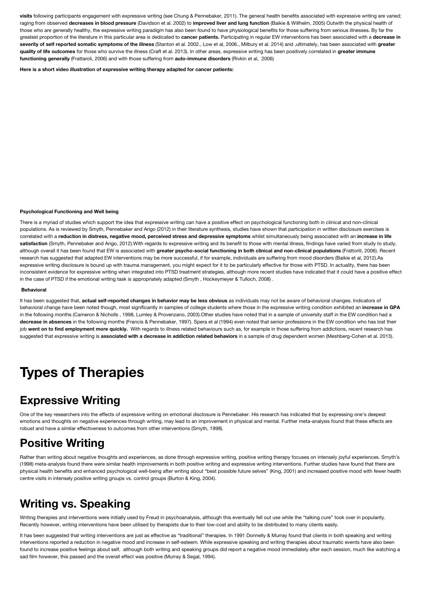**visits** following participants engagement with expressive writing (see Chung & Pennebaker, 2011). The general health benefits associated with expressive writing are varied; raging from observed **decreases in blood pressure** (Davidson et al. 2002) to **improved liver and lung function** (Baikie & Willhelm, 2005) Outwith the physical health of those who are generally healthy, the expressive writing paradigm has also been found to have physiological benefits for those suffering from serious illnesses. By far the greatest proportion of the literature in this particular area is dedicated to **cancer patients.** Participating in regular EW interventions has been associated with a **decrease in severity of self reported somatic symptoms of the illness** (Stanton et al. 2002., Low et al, 2006., Milbury et al. 2014) and ,ultimately, has been associated with **greater quality of life outcomes** for those who survive the illness (Craft et al. 2013). In other areas, expressive writing has been positively correlated in **greater immune functioning generally** (Frattaroli, 2006) and with those suffering from **auto-immune disorders** (Rivkin et al, 2006)

**Here is a short video illustration of expressive writing therapy adapted for cancer patients:**

#### **Psychological Functioning and Well being**

There is a myriad of studies which support the idea that expressive writing can have a positive effect on psychological functioning both in clinical and non-clinical populations. As is reviewed by Smyth, Pennebaker and Arigo (2012) in their literature synthesis, studies have shown that participation in written disclosure exercises is correlated with a **reduction in distress, negative mood, perceived stress and depressive symptoms** whilst simultaneously being associated with an **increase in life** satisfaction (Smyth, Pennebaker and Arigo, 2012).With regards to expressive writing and its benefit to those with mental illness, findings have varied from study to study, although overall it has been found that EW is associated with **greater psycho-social functioning in both clinical and non-clinical populations** (Frattorili, 2006). Recent research has suggested that adapted EW interventions may be more successful, if for example, individuals are suffering from mood disorders (Baikie et al, 2012).As expressive writing disclosure is bound up with trauma management, you might expect for it to be particularly effective for those with PTSD. In actuality, there has been inconsistent evidence for expressive writing when integrated into PTSD treatment strategies, although more recent studies have indicated that it could have a positive effect in the case of PTSD if the emotional writing task is appropriately adapted (Smyth , Hockeymeyer & Tulloch, 2008) .

#### **Behavioral**

It has been suggested that, **actual self-reported changes in behavior may be less obvious** as individuals may not be aware of behavioral changes. Indicators of behavioral change have been noted though, most significantly in samples of college students where those in the expressive writing condition exhibited an **increase in GPA** in the following months (Cameron & Nicholls, 1998, Lumley & Provenzano, 2003).Other studies have noted that in a sample of university staff in the EW condition had a **decrease in absences** in the following months (Francis & Pennebaker, 1997). Spera et al (1994) even noted that senior professions in the EW condition who has lost their job went on to find employment more quickly. With regards to illness related behaviours such as, for example in those suffering from addictions, recent research has suggested that expressive writing is **associated with a decrease in addiction related behaviors** in a sample of drug dependent women (Meshberg-Cohen et al. 2013).

# **Types of Therapies**

### **Expressive Writing**

One of the key researchers into the effects of expressive writing on emotional disclosure is Pennebaker. His research has indicated that by expressing one's deepest emotions and thoughts on negative experiences through writing, may lead to an improvement in physical and mental. Further meta-analysis found that these effects are robust and have a similar effectiveness to outcomes from other interventions (Smyth, 1998).

### **Positive Writing**

Rather than writing about negative thoughts and experiences, as done through expressive writing, positive writing therapy focuses on intensely joyful experiences. Smyth's (1998) meta-analysis found there were similar health improvements in both positive writing and expressive writing interventions. Further studies have found that there are physical health benefits and enhanced psychological well-being after writing about "best possible future selves" (King, 2001) and increased positive mood with fewer health centre visits in intensely positive writing groups vs. control groups (Burton & King, 2004).

### **Writing vs. Speaking**

Writing therapies and interventions were initially used by Freud in psychoanalysis, although this eventually fell out use while the "talking cure" took over in popularity. Recently however, writing interventions have been utilised by therapists due to their low-cost and ability to be distributed to many clients easily.

It has been suggested that writing interventions are just as effective as "traditional" therapies. In 1991 Donnelly & Murray found that clients in both speaking and writing interventions reported a reduction in negative mood and increase in self-esteem. While expressive speaking and writing therapies about traumatic events have also been found to increase positive feelings about self, although both writing and speaking groups did report a negative mood immediately after each session, much like watching a sad film however, this passed and the overall effect was positive (Murray & Segal, 1994).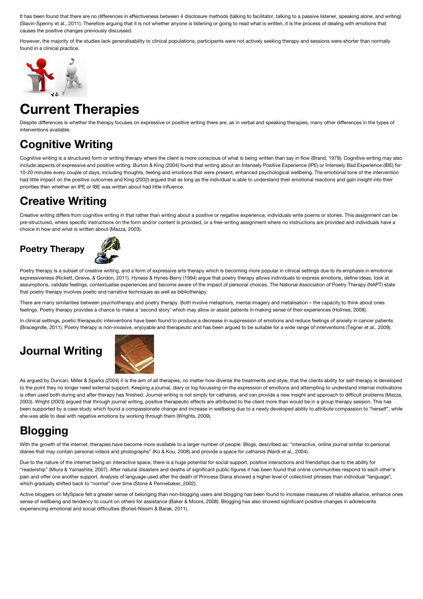It has been found that there are no differences in effectiveness between 4 disclosure methods (talking to facilitator, talking to a passive listener, speaking alone, and writing) (Slavin-Spenny et al., 2011). Therefore arguing that it is not whether anyone is listening or going to read what is written, it is the process of dealing with emotions that causes the positive changes previously discussed.

However, the majority of the studies lack generalisability to clinical populations, participants were not actively seeking therapy and sessions were shorter than normally found in a clinical practice.



# **Current Therapies**

Despite differences is whether the therapy focuses on expressive or positive writing there are, as in verbal and speaking therapies, many other differences in the types of interventions available.

# **Cognitive Writing**

Cognitive writing is a structured form or writing therapy where the client is more conscious of what is being written than say in flow (Brand, 1979). Cognitive writing may also include aspects of expressive and positive writing. Burton & King (2004) found that writing about an Intensely Positive Experience (IPE) or Intensely Bad Experience (IBE) for 10-20 minutes every couple of days, including thoughts, feeling and emotions that were present, enhanced psychological wellbeing. The emotional tone of the intervention had little impact on the positive outcomes and King (2002) argued that as long as the individual is able to understand their emotional reactions and gain insight into their priorities then whether an IPE or IBE was written about had little influence.

## **Creative Writing**

Creative writing differs from cognitive writing in that rather than writing about a positive or negative experience, individuals write poems or stories. This assignment can be pre-structured, where specific instructions on the form and/or content is provided, or a free-writing assignment where no instructions are provided and individuals have a choice in how and what is written about (Mazza, 2003).

### **Poetry Therapy**



Poetry therapy is a subset of creative writing, and a form of expressive arts therapy which is becoming more popular in clinical settings due to its emphasis in emotional expressiveness (Rickett, Greive, & Gordon, 2011). Hyness & Hynes-Berry (1994) argue that poetry therapy allows individuals to express emotions, define ideas, look at assumptions, validate feelings, contextualise experiences and become aware of the impact of personal choices. The National Association of Poetry Therapy (NAPT) state that poetry therapy involves poetic and narrative techniques as well as bibliotherapy.

There are many similarities between psychotherapy and poetry therapy. Both involve metaphors, mental imagery and metalisation – the capacity to think about ones feelings. Poetry therapy provides a chance to make a 'second story' which may allow or assist patients in making sense of their experiences (Holmes, 2008).

In clinical settings, poetic therapeutic interventions have been found to produce a decrease in suppression of emotions and reduce feelings of anxiety in cancer patients (Bracegirdle, 2011). Poetry therapy is non-invasive, enjoyable and therapeutic and has been argued to be suitable for a wide range of interventions (Tegner et al., 2009).

# **Journal Writing**



As argued by Duncan, Miller & Sparks (2004) it is the aim of all therapies, no matter how diverse the treatments and style, that the clients ability for self-therapy is developed to the point they no longer need external support. Keeping a journal, diary or log focussing on the expression of emotions and attempting to understand internal motivations is often used both during and after therapy has finished. Journal writing is not simply for catharsis, and can provide a new insight and approach to difficult problems (Mazza, 2003). Wright (2003) argued that through journal writing, positive therapeutic effects are attributed to the client more than would be in a group therapy session. This has been supported by a case study which found a compassionate change and increase in wellbeing due to a newly developed ability to attribute compassion to "herself", while she was able to deal with negative emotions by working through them (Wrights, 2009).

# **Blogging**

With the growth of the internet, therapies have become more available to a larger number of people. Blogs, described as: "interactive, online journal similar to personal diaries that may contain personal videos and photographs" (Ko & Kou, 2008) and provide a space for catharsis (Nardi et al., 2004).

Due to the nature of the internet being an interactive space, there is a huge potential for social support, positive interactions and friendships due to the ability for "readership" (Miura & Yamashita, 2007). After natural disasters and deaths of significant public figures it has been found that online communities respond to each other's pain and offer one another support. Analysis of language used after the death of Princess Diana showed a higher level of collectivist phrases than individual "language", which gradually shifted back to "normal" over time (Stone & Pennebaker, 2002).

Active bloggers on MySpace felt a greater sense of belonging than non-blogging users and blogging has been found to increase measures of reliable alliance, enhance ones sense of wellbeing and tendency to count on others for assistance (Baker & Moore, 2008). Blogging has also showed significant positive changes in adolescents experiencing emotional and social difficulties (Boneil-Nissim & Barak, 2011).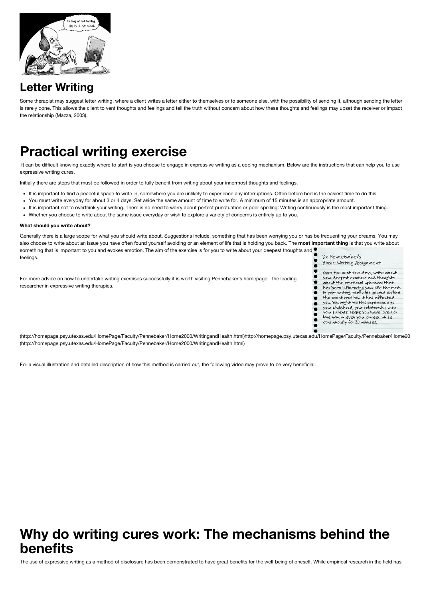

## **Letter Writing**

Some therapist may suggest letter writing, where a client writes a letter either to themselves or to someone else, with the possibility of sending it, although sending the letter is rarely done. This allows the client to vent thoughts and feelings and tell the truth without concern about how these thoughts and feelings may upset the receiver or impact the relationship (Mazza, 2003).

# **Practical writing exercise**

It can be difficult knowing exactly where to start is you choose to engage in expressive writing as a coping mechanism. Below are the instructions that can help you to use expressive writing cures.

Initially there are steps that must be followed in order to fully benefit from writing about your innermost thoughts and feelings.

- It is important to find a peaceful space to write in, somewhere you are unlikely to experience any interruptions. Often before bed is the easiest time to do this
- You must write everyday for about 3 or 4 days. Set aside the same amount of time to write for. A minimum of 15 minutes is an appropriate amount.
- It is important not to overthink your writing. There is no need to worry about perfect punctuation or poor spelling: Writing continuously is the most important thing.
- Whether you choose to write about the same issue everyday or wish to explore a variety of concerns is entirely up to you.

### **What should you write about?**

Generally there is a large scope for what you should write about. Suggestions include, something that has been worrying you or has be frequenting your dreams. You may also choose to write about an issue you have often found yourself avoiding or an element of life that is holding you back. The **most important thing** is that you write about something that is important to you and evokes emotion. The aim of the exercise is for you to write about your deepest thoughts and Dr Pennehaker's feelings.  $\bullet$ 

For more advice on how to undertake writing exercises successfully it is worth visiting Pennebaker's homepage - the leading researcher in expressive writing therapies.



[\(http://homepage.psy.utexas.edu/HomePage/Faculty/Pennebaker/Home2000/WritingandHealth.html\)http://homepage.psy.utexas.edu/HomePage/Faculty/Pennebaker/Home20](http://homepage.psy.utexas.edu/HomePage/Faculty/Pennebaker/Home2000/WritingandHealth.html)00/WritingandHealth.html (http://homepage.psy.utexas.edu/HomePage/Faculty/Pennebaker/Home2000/WritingandHealth.html)

For a visual illustration and detailed description of how this method is carried out, the following video may prove to be very beneficial.

# **Why do writing cures work: The mechanisms behind the benefits**

The use of expressive writing as a method of disclosure has been demonstrated to have great benefits for the well-being of oneself. While empirical research in the field has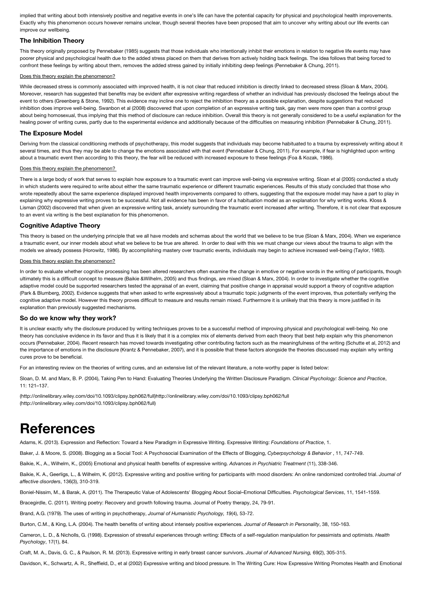implied that writing about both intensively positive and negative events in one's life can have the potential capacity for physical and psychological health improvements. Exactly why this phenomenon occurs however remains unclear, though several theories have been proposed that aim to uncover why writing about our life events can improve our wellbeing.

### **The Inhibition Theory**

This theory originally proposed by Pennebaker (1985) suggests that those individuals who intentionally inhibit their emotions in relation to negative life events may have poorer physical and psychological health due to the added stress placed on them that derives from actively holding back feelings. The idea follows that being forced to confront these feelings by writing about them, removes the added stress gained by initially inhibiting deep feelings (Pennebaker & Chung, 2011).

### Does this theory explain the phenomenon?

While decreased stress is commonly associated with improved health, it is not clear that reduced inhibition is directly linked to decreased stress (Sloan & Marx, 2004). Moreover, research has suggested that benefits may be evident after expressive writing regardless of whether an individual has previously disclosed the feelings about the event to others (Greenberg & Stone, 1992). This evidence may incline one to reject the inhibition theory as a possible explanation, despite suggestions that reduced inhibition does improve well-being. Swanbon et al (2008) discovered that upon completion of an expressive writing task, gay men were more open than a control group about being homosexual, thus implying that this method of disclosure can reduce inhibition. Overall this theory is not generally considered to be a useful explanation for the healing power of writing cures, partly due to the experimental evidence and additionally because of the difficulties on measuring inhibition (Pennebaker & Chung, 2011).

### **The Exposure Model**

Deriving from the classical conditioning methods of psychotherapy, this model suggests that individuals may become habituated to a trauma by expressively writing about it several times, and thus they may be able to change the emotions associated with that event (Pennebaker & Chung, 2011). For example, if fear is highlighted upon writing about a traumatic event then according to this theory, the fear will be reduced with increased exposure to these feelings (Foa & Kozak, 1986).

### Does this theory explain the phenomenon?

There is a large body of work that serves to explain how exposure to a traumatic event can improve well-being via expressive writing. Sloan et al (2005) conducted a study in which students were required to write about either the same traumatic experience or different traumatic experiences. Results of this study concluded that those who wrote repeatedly about the same experience displayed improved health improvements compared to others, suggesting that the exposure model may have a part to play in explaining why expressive writing proves to be successful. Not all evidence has been in favor of a habituation model as an explanation for why writing works. Kloss & Lisman (2002) discovered that when given an expressive writing task, anxiety surrounding the traumatic event increased after writing. Therefore, it is not clear that exposure to an event via writing is the best explanation for this phenomenon.

### **Cognitive Adaptive Theory**

This theory is based on the underlying principle that we all have models and schemas about the world that we believe to be true (Sloan & Marx, 2004). When we experience a traumatic event, our inner models about what we believe to be true are altered. In order to deal with this we must change our views about the trauma to align with the models we already possess (Horowitz, 1986). By accomplishing mastery over traumatic events, individuals may begin to achieve increased well-being (Taylor, 1983).

### Does this theory explain the phenomenon?

In order to evaluate whether cognitive processing has been altered researchers often examine the change in emotive or negative words in the writing of participants, though ultimately this is a difficult concept to measure (Baikie &Wilhelm, 2005) and thus findings, are mixed (Sloan & Marx, 2004). In order to investigate whether the cognitive adaptive model could be supported researchers tested the appraisal of an event, claiming that positive change in appraisal would support a theory of cognitive adaption (Park & Blumberg, 2002). Evidence suggests that when asked to write expressively about a traumatic topic judgments of the event improves, thus potentially verifying the cognitive adaptive model. However this theory proves difficult to measure and results remain mixed. Furthermore it is unlikely that this theory is more justified in its explanation than previously suggested mechanisms.

### **So do we know why they work?**

It is unclear exactly why the disclosure produced by writing techniques proves to be a successful method of improving physical and psychological well-being. No one theory has conclusive evidence in its favor and thus it is likely that it is a complex mix of elements derived from each theory that best help explain why this phenomenon occurs (Pennebaker, 2004). Recent research has moved towards investigating other contributing factors such as the meaningfulness of the writing (Schutte et al, 2012) and the importance of emotions in the disclosure (Krantz & Pennebaker, 2007), and it is possible that these factors alongside the theories discussed may explain why writing cures prove to be beneficial.

For an interesting review on the theories of writing cures, and an extensive list of the relevant literature, a note-worthy paper is listed below:

Sloan, D. M. and Marx, B. P. (2004), Taking Pen to Hand: Evaluating Theories Underlying the Written Disclosure Paradigm. *Clinical Psychology: Science and Practice*, 11: 121–137.

[\(http://onlinelibrary.wiley.com/doi/10.1093/clipsy.bph062/full\)http://onlinelibrary.wiley.com/doi/10.1093/clipsy.bph062/full](http://onlinelibrary.wiley.com/doi/10.1093/clipsy.bph062/full) (http://onlinelibrary.wiley.com/doi/10.1093/clipsy.bph062/full)

# **References**

Adams, K. (2013). Expression and Reflection: Toward a New Paradigm in Expressive Writing. Expressive Writing: *Foundations of Practice*, 1.

Baker, J. & Moore, S. (2008). Blogging as a Social Tool: A Psychosocial Examination of the Effects of Blogging, *Cyberpsychology & Behavior* , 11, 747-749.

Baikie, K., A., Wilhelm, K., (2005) Emotional and physical health benefits of expressive writing. *Advances in Psychiatric Treatment* (11), 338-346.

Baikie, K. A., Geerligs, L., & Wilhelm, K. (2012). Expressive writing and positive writing for participants with mood disorders: An online randomized controlled trial. *Journal of affective disorders*, 136(3), 310-319.

Boniel-Nissim, M., & Barak, A. (2011). The Therapeutic Value of Adolescents' Blogging About Social–Emotional Difficulties. *Psychological Services*, 11, 1541-1559.

Bracegirdle, C. (2011). Writing poetry: Recovery and growth following trauma. Journal of Poetry therapy, 24, 79-91.

Brand, A.G. (1979). The uses of writing in psychotherapy, *Journal of Humanistic Psychology, 19*(4), 53-72.

Burton, C.M., & King, L.A. (2004). The health benefits of writing about intensely positive experiences. *Journal of Research in Personality*, 38, 150-163.

Cameron, L. D., & Nicholls, G. (1998). Expression of stressful experiences through writing: Effects of a self-regulation manipulation for pessimists and optimists. *Health Psychology*, 17(1), 84.

Craft, M. A., Davis, G. C., & Paulson, R. M. (2013). Expressive writing in early breast cancer survivors. *Journal of Advanced Nursing,* 69(2), 305-315.

Davidson, K., Schwartz, A. R., Sheffield, D., et al (2002) Expressive writing and blood pressure. In The Writing Cure: How Expressive Writing Promotes Health and Emotional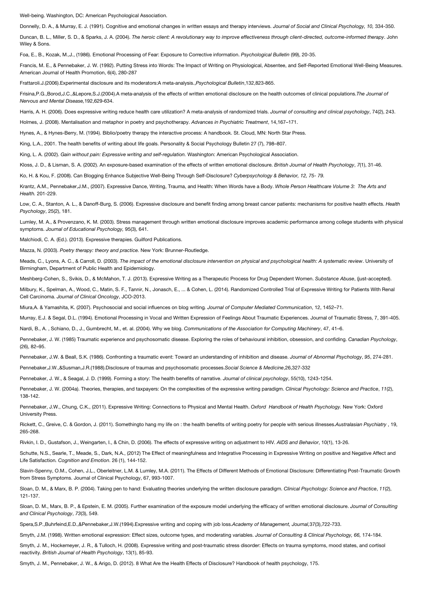Well-being. Washington, DC: American Psychological Association.

Donnelly, D. A., & Murray, E. J. (1991). Cognitive and emotional changes in written essays and therapy interviews. *Journal of Social and Clinical Psychology, 10,* 334-350.

Duncan, B. L., Miller, S. D., & Sparks, J. A. (2004). *The heroic client: A revolutionary way to improve effectiveness through client-directed, outcome-informed therapy*. John Wiley & Sons.

Foa, E., B., Kozak, M.,J., (1986). Emotional Processing of Fear: Exposure to Corrective information. *Psychological Bulletin* (99), 20-35.

Francis, M. E., & Pennebaker, J. W. (1992). Putting Stress into Words: The Impact of Writing on Physiological, Absentee, and Self-Reported Emotional Well-Being Measures. American Journal of Health Promotion, 6(4), 280-287

Frattaroli.J.(2006).Experimental disclosure and its moderators:A meta‐analysis.,*Psychological Bulletin*,132,823‐865.

Frisina,P.G.,Borod,J.C.,&Lepore,S.J.(2004).A meta‐analysis of the effects of written emotional disclosure on the health outcomes of clinical populations.*The Journal of Nervous and Mental Disease,*192,629‐634.

Harris, A. H. (2006). Does expressive writing reduce health care utilization? A meta-analysis of randomized trials. *Journal of consulting and clinical psychology*, 74(2), 243.

Holmes, J. (2008). Mentalisation and metaphor in poetry and psychotherapy. *Advances in Psychiatric Treatment*, 14,167–171.

Hynes, A., & Hynes-Berry, M. (1994). Biblio/poetry therapy the interactive process: A handbook. St. Cloud, MN: North Star Press.

King, L.A., 2001. The health benefits of writing about life goals. Personality & Social Psychology Bulletin 27 (7), 798–807.

King, L. A. (2002). *Gain without pain: Expressive writing and self-regulation.* Washington: American Psychological Association.

Kloss, J. D., & Lisman, S. A. (2002). An exposure‐based examination of the effects of written emotional disclosure. *British Journal of Health Psychology*, *7*(1), 31-46.

Ko, H. & Kou, F. (2008). Can Blogging Enhance Subjective Well-Being Through Self-Disclosure? *Cyberpsychology & Behavior, 12, 75- 79.*

Krantz, A.M., Pennebaker,J.M., (2007). Expressive Dance, Writing, Trauma, and Health: When Words have a Body. *Whole Person Healthcare Volume 3: The Arts and Health.* 201-229.

Low, C. A., Stanton, A. L., & Danoff-Burg, S. (2006). Expressive disclosure and benefit finding among breast cancer patients: mechanisms for positive health effects. *Health Psychology*, 25(2), 181.

Lumley, M. A., & Provenzano, K. M. (2003). Stress management through written emotional disclosure improves academic performance among college students with physical symptoms. *Journal of Educational Psychology,* 95(3), 641.

Malchiodi, C. A. (Ed.). (2013). Expressive therapies. Guilford Publications.

Mazza, N. (2003). *Poetry therapy: theory and practice.* New York: Brunner-Routledge.

Meads, C., Lyons, A. C., & Carroll, D. (2003). *The impact of the emotional disclosure intervention on physical and psychological health: A systematic review*. University of Birmingham, Department of Public Health and Epidemiology.

Meshberg-Cohen, S., Svikis, D., & McMahon, T. J. (2013). Expressive Writing as a Therapeutic Process for Drug Dependent Women. *Substance Abuse*, (just-accepted).

Milbury, K., Spelman, A., Wood, C., Matin, S. F., Tannir, N., Jonasch, E., ... & Cohen, L. (2014). Randomized Controlled Trial of Expressive Writing for Patients With Renal Cell Carcinoma. *Journal of Clinical Oncology*, JCO-2013.

Miura,A. & Yamashita, K. (2007). Psychosocial and social influences on blog writing*. Journal of Computer Mediated Communication*, 12, 1452–71.

Murray, E.J. & Segal, D.L. (1994). Emotional Processing in Vocal and Written Expression of Feelings About Traumatic Experiences. Journal of Traumatic Stress, 7, 391-405.

Nardi, B., A. , Schiano, D., J., Gumbrecht, M., et. al. (2004). Why we blog. *Communications of the Association for Computing Machinery*, 47, 41–6.

Pennebaker, J. W. (1985) Traumatic experience and psychosomatic disease. Exploring the roles of behavioural inhibition, obsession, and confiding. *Canadian Psychology*, (26), 82–95.

Pennebaker, J.W. & Beall, S.K. (1986). Confronting a traumatic event: Toward an understanding of inhibition and disease. *Journal of Abnormal Psychology*, *95*, 274-281.

Pennebaker,J.W.,&Susman,J.R.(1988).Disclosure of traumas and psychosomatic processes.*Social Science & Medicine*,26,327‐332

Pennebaker, J. W., & Seagal, J. D. (1999). Forming a story: The health benefits of narrative. *Journal of clinical psychology*, 55(10), 1243-1254.

Pennebaker, J. W. (2004a). Theories, therapies, and taxpayers: On the complexities of the expressive writing paradigm. *Clinical Psychology: Science and Practice*, *11*(2), 138-142.

Pennebaker, J.W., Chung, C.K., (2011). Expressive Writing: Connections to Physical and Mental Health. *Oxford Handbook of Health Psychology.* New York: Oxford University Press.

Rickett, C., Greive, C. & Gordon, J. (2011). Somethingto hang my life on : the health benefits of writing poetry for people with serious illnesses.*Australasian Psychiatry* , 19, 265-268.

Rivkin, I. D., Gustafson, J., Weingarten, I., & Chin, D. (2006). The effects of expressive writing on adjustment to HIV. *AIDS and Behavior*, 10(1), 13-26.

Schutte, N.S., Searle, T., Meade, S., Dark, N.A., (2012) The Effect of meaningfulness and Integrative Processing in Expressive Writing on positive and Negative Affect and Life Satisfaction*. Cognition and Emotion*. 26 (1), 144-152.

Slavin-Spenny, O.M., Cohen, J.L., Oberleitner, L.M. & Lumley, M.A. (2011). The Effects of Different Methods of Emotional Disclosure: Differentiating Post-Traumatic Growth from Stress Symptoms. Journal of Clinical Psychology, 67, 993-1007.

Sloan, D. M., & Marx, B. P. (2004). Taking pen to hand: Evaluating theories underlying the written disclosure paradigm. *Clinical Psychology: Science and Practice*, *11*(2), 121-137.

Sloan, D. M., Marx, B. P., & Epstein, E. M. (2005). Further examination of the exposure model underlying the efficacy of written emotional disclosure. *Journal of Consulting and Clinical Psychology*, *73*(3), 549.

Spera,S.P.,Buhrfeind,E.D.,&Pennebaker,J.W.(1994).Expressive writing and coping with job loss.*Academy of Management, Journal,*37(3),722‐733.

Smyth, J.M. (1998). Written emotional expression: Effect sizes, outcome types, and moderating variables. *Journal of Consulting & Clinical Psychology, 66,* 174-184.

Smyth, J. M., Hockemeyer, J. R., & Tulloch, H. (2008). Expressive writing and post-traumatic stress disorder: Effects on trauma symptoms, mood states, and cortisol reactivity. *British Journal of Health Psychology*, 13(1), 85-93.

Smyth, J. M., Pennebaker, J. W., & Arigo, D. (2012). 8 What Are the Health Effects of Disclosure? Handbook of health psychology, 175.